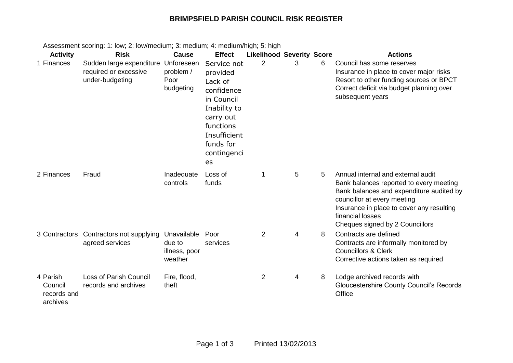## **BRIMPSFIELD PARISH COUNCIL RISK REGISTER**

| <b>Activity</b>                                | <b>Risk</b>                                                                     | <b>Cause</b>                                      | <b>Effect</b>                                                                                                                                              | <b>Likelihood Severity Score</b> |   |   | <b>Actions</b>                                                                                                                                                                                                                                               |
|------------------------------------------------|---------------------------------------------------------------------------------|---------------------------------------------------|------------------------------------------------------------------------------------------------------------------------------------------------------------|----------------------------------|---|---|--------------------------------------------------------------------------------------------------------------------------------------------------------------------------------------------------------------------------------------------------------------|
| 1 Finances                                     | Sudden large expenditure Unforeseen<br>required or excessive<br>under-budgeting | problem /<br>Poor<br>budgeting                    | Service not<br>provided<br>Lack of<br>confidence<br>in Council<br>Inability to<br>carry out<br>functions<br>Insufficient<br>funds for<br>contingenci<br>es | 2                                | 3 | 6 | Council has some reserves<br>Insurance in place to cover major risks<br>Resort to other funding sources or BPCT<br>Correct deficit via budget planning over<br>subsequent years                                                                              |
| 2 Finances                                     | Fraud                                                                           | Inadequate<br>controls                            | Loss of<br>funds                                                                                                                                           | 1                                | 5 | 5 | Annual internal and external audit<br>Bank balances reported to every meeting<br>Bank balances and expenditure audited by<br>councillor at every meeting<br>Insurance in place to cover any resulting<br>financial losses<br>Cheques signed by 2 Councillors |
| 3 Contractors                                  | Contractors not supplying<br>agreed services                                    | Unavailable<br>due to<br>illness, poor<br>weather | Poor<br>services                                                                                                                                           | $\overline{2}$                   | 4 | 8 | Contracts are defined<br>Contracts are informally monitored by<br><b>Councillors &amp; Clerk</b><br>Corrective actions taken as required                                                                                                                     |
| 4 Parish<br>Council<br>records and<br>archives | Loss of Parish Council<br>records and archives                                  | Fire, flood,<br>theft                             |                                                                                                                                                            | $\overline{2}$                   | 4 | 8 | Lodge archived records with<br><b>Gloucestershire County Council's Records</b><br>Office                                                                                                                                                                     |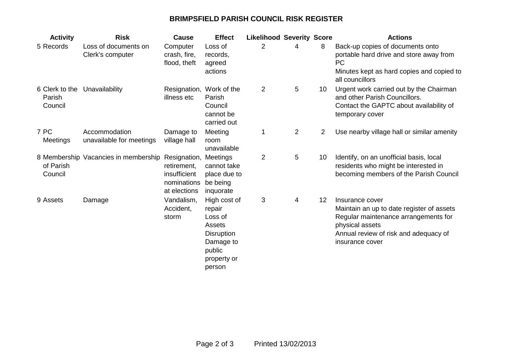## **BRIMPSFIELD PARISH COUNCIL RISK REGISTER**

| <b>Activity</b>                     | <b>Risk</b>                               | Cause                                                                      | <b>Effect</b>                                                                                                    | <b>Likelihood Severity Score</b> |                 |                 | <b>Actions</b>                                                                                                                                                                      |
|-------------------------------------|-------------------------------------------|----------------------------------------------------------------------------|------------------------------------------------------------------------------------------------------------------|----------------------------------|-----------------|-----------------|-------------------------------------------------------------------------------------------------------------------------------------------------------------------------------------|
| 5 Records                           | Loss of documents on<br>Clerk's computer  | Computer<br>crash, fire,<br>flood, theft                                   | Loss of<br>records,<br>agreed<br>actions                                                                         | 2                                | 4               | 8               | Back-up copies of documents onto<br>portable hard drive and store away from<br><b>PC</b><br>Minutes kept as hard copies and copied to<br>all councillors                            |
| 6 Clerk to the<br>Parish<br>Council | Unavailability                            | Resignation, Work of the<br>illness etc                                    | Parish<br>Council<br>cannot be<br>carried out                                                                    | $\overline{2}$                   | $5\phantom{.0}$ | 10 <sup>°</sup> | Urgent work carried out by the Chairman<br>and other Parish Councillors.<br>Contact the GAPTC about availability of<br>temporary cover                                              |
| 7 PC<br>Meetings                    | Accommodation<br>unavailable for meetings | Damage to<br>village hall                                                  | Meeting<br>room<br>unavailable                                                                                   |                                  | 2               | $\overline{2}$  | Use nearby village hall or similar amenity                                                                                                                                          |
| of Parish<br>Council                | 8 Membership Vacancies in membership      | Resignation,<br>retirement,<br>insufficient<br>nominations<br>at elections | Meetings<br>cannot take<br>place due to<br>be being<br>inquorate                                                 | $\overline{2}$                   | $5\phantom{.0}$ | 10              | Identify, on an unofficial basis, local<br>residents who might be interested in<br>becoming members of the Parish Council                                                           |
| 9 Assets                            | Damage                                    | Vandalism,<br>Accident,<br>storm                                           | High cost of<br>repair<br>Loss of<br>Assets<br><b>Disruption</b><br>Damage to<br>public<br>property or<br>person | 3                                | 4               | 12              | Insurance cover<br>Maintain an up to date register of assets<br>Regular maintenance arrangements for<br>physical assets<br>Annual review of risk and adequacy of<br>insurance cover |